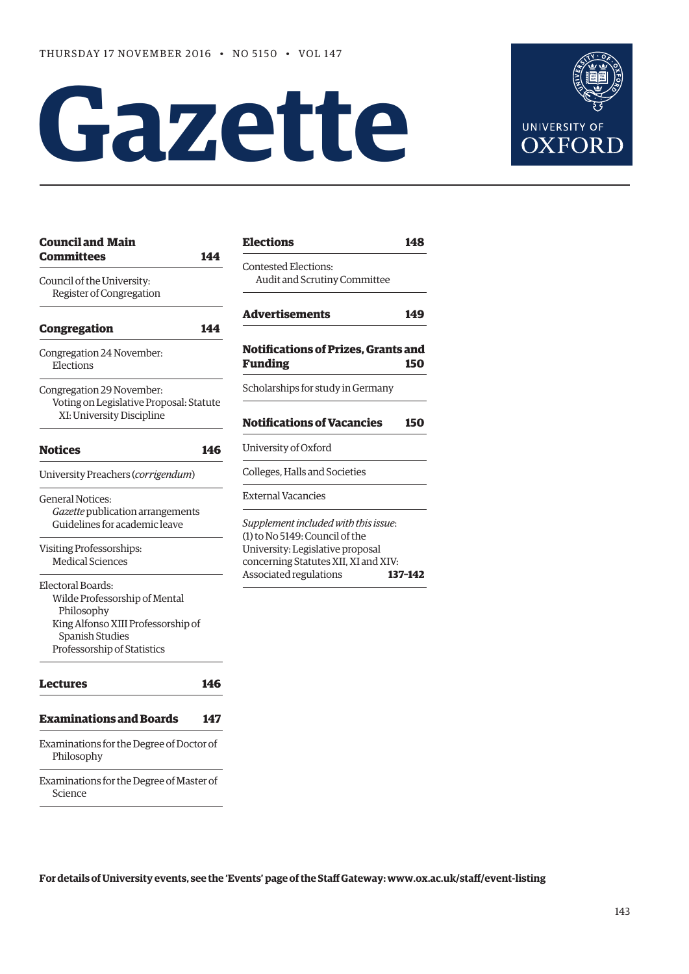# **Gazette**



| <b>Council and Main</b>                                                                           |     | Ele              |
|---------------------------------------------------------------------------------------------------|-----|------------------|
| <b>Committees</b>                                                                                 | 144 | Con              |
| Council of the University:                                                                        |     | А                |
| Register of Congregation                                                                          |     |                  |
| <b>Congregation</b>                                                                               | 144 | Adv              |
| Congregation 24 November:<br>Elections                                                            |     | Not<br>Fur       |
| Congregation 29 November:<br>Voting on Legislative Proposal: Statute<br>XI: University Discipline |     | Scho             |
| <b>Notices</b>                                                                                    | 146 | Not<br>Univ      |
| University Preachers (corrigendum)                                                                |     | Colle            |
| <b>General Notices:</b>                                                                           |     | Exte             |
| Gazette publication arrangements                                                                  |     |                  |
| Guidelines for academic leave                                                                     |     | Supp             |
| Visiting Professorships:                                                                          |     | $(1)$ to<br>Uniy |
| <b>Medical Sciences</b>                                                                           |     | cond             |
| Electoral Boards:                                                                                 |     | Assc             |
| Wilde Professorship of Mental                                                                     |     |                  |
| Philosophy                                                                                        |     |                  |
| King Alfonso XIII Professorship of                                                                |     |                  |
| <b>Spanish Studies</b>                                                                            |     |                  |
| Professorship of Statistics                                                                       |     |                  |
| Lectures                                                                                          | 146 |                  |
| <b>Examinations and Boards</b>                                                                    | 147 |                  |
| Examinations for the Degree of Doctor of<br>Philosophy                                            |     |                  |
| Examinations for the Degree of Master of<br>Science                                               |     |                  |

| <b>Elections</b>                                                                                                                                   | 148     |
|----------------------------------------------------------------------------------------------------------------------------------------------------|---------|
| Contested Elections:<br>Audit and Scrutiny Committee                                                                                               |         |
| Advertisements                                                                                                                                     | 149     |
| <b>Notifications of Prizes. Grants and</b><br><b>Funding</b>                                                                                       | 150     |
| Scholarships for study in Germany                                                                                                                  |         |
| <b>Notifications of Vacancies</b>                                                                                                                  | 150     |
| University of Oxford                                                                                                                               |         |
| Colleges, Halls and Societies                                                                                                                      |         |
| <b>External Vacancies</b>                                                                                                                          |         |
| Supplement included with this issue:<br>(1) to No 5149: Council of the<br>University: Legislative proposal<br>concerning Statutes XII, XI and XIV: |         |
| Associated regulations                                                                                                                             | 137-142 |

**For details of University events, see the 'Events' page of the Staff Gateway: [www.ox.ac.uk/staff/event-listing](http://www.ox.ac.uk/staff/event-listing)**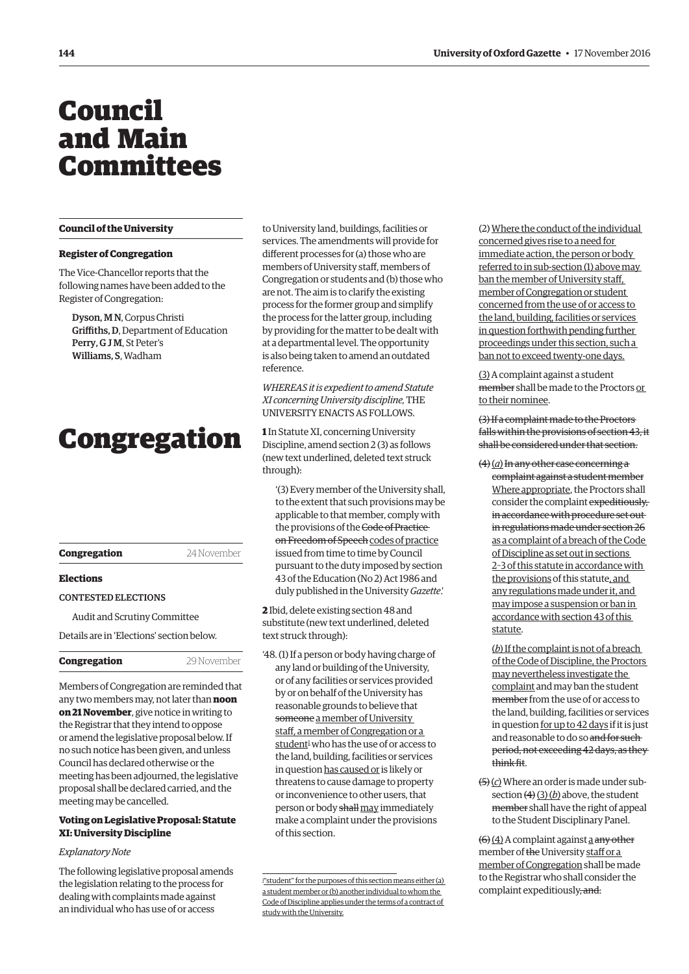## <span id="page-1-0"></span>Council and Main Committees

#### **Council of the University**

#### **Register of Congregation**

The Vice-Chancellor reports that the following names have been added to the Register of Congregation:

Dyson, M N, Corpus Christi Griffiths, D, Department of Education Perry, G J M, St Peter's Williams, S, Wadham

## Congregation

| Congregation | 24 November |
|--------------|-------------|
|              |             |

#### **Elections**

#### CONTESTED ELECTIONS

Audit and Scrutiny Committee

Details are in 'Elections' section below.

| Congregation |  |
|--------------|--|
|              |  |

Members of Congregation are reminded that any two members may, not later than **noon on 21 November**, give notice in writing to the Registrar that they intend to oppose or amend the legislative proposal below. If no such notice has been given, and unless Council has declared otherwise or the meeting has been adjourned, the legislative proposal shall be declared carried, and the meeting may be cancelled.

**Congregation** 29 November

#### **Voting on Legislative Proposal: Statute XI: University Discipline**

#### *Explanatory Note*

The following legislative proposal amends the legislation relating to the process for dealing with complaints made against an individual who has use of or access

to University land, buildings, facilities or services. The amendments will provide for different processes for (a) those who are members of University staff, members of Congregation or students and (b) those who are not. The aim is to clarify the existing process for the former group and simplify the process for the latter group, including by providing for the matter to be dealt with at a departmental level. The opportunity is also being taken to amend an outdated reference.

*WHEREAS it is expedient to amend Statute XI concerning University discipline,* THE UNIVERSITY ENACTS AS FOLLOWS.

**1** In Statute XI, concerning University Discipline, amend section 2 (3) as follows (new text underlined, deleted text struck through):

'(3) Every member of the University shall, to the extent that such provisions may be applicable to that member, comply with the provisions of the Code of Practice on Freedom of Speech codes of practice issued from time to time by Council pursuant to the duty imposed by section 43 of the Education (No 2) Act 1986 and duly published in the University *Gazette*.'

**2** Ibid, delete existing section 48 and substitute (new text underlined, deleted text struck through):

'48. (1) If a person or body having charge of any land or building of the University, or of any facilities or services provided by or on behalf of the University has reasonable grounds to believe that someone a member of University staff, a member of Congregation or a student<sup>1</sup> who has the use of or access to the land, building, facilities or services in question has caused or is likely or threatens to cause damage to property or inconvenience to other users, that person or body shall may immediately make a complaint under the provisions of this section.

(2) Where the conduct of the individual concerned gives rise to a need for immediate action, the person or body referred to in sub-section (1) above may ban the member of University staff, member of Congregation or student concerned from the use of or access to the land, building, facilities or services in question forthwith pending further proceedings under this section, such a ban not to exceed twenty-one days.

(3) A complaint against a student member shall be made to the Proctors or to their nominee.

(3) If a complaint made to the Proctors falls within the provisions of section 43, it shall be considered under that section.

(4)(*a*)In any other case concerning a complaint against a student member Where appropriate, the Proctors shall consider the complaint expeditiously, in accordance with procedure set out in regulations made under section 26 as a complaint of a breach of the Code of Discipline as set out in sections 2–3 of this statute in accordance with the provisions of this statute, and any regulations made under it, and may impose a suspension or ban in accordance with section 43 of this statute.

(*b*) If the complaint is not of a breach of the Code of Discipline, the Proctors may nevertheless investigate the complaint and may ban the student member from the use of or access to the land, building, facilities or services in question for up to 42 days if it is just and reasonable to do so and for such period, not exceeding 42 days, as they think fit.

(5)(*c*) Where an order is made under subsection (4)(3)(b) above, the student member shall have the right of appeal to the Student Disciplinary Panel.

 $(6)$  (4) A complaint against a any other member of the University staff or a member of Congregation shall be made to the Registrar who shall consider the complaint expeditiously, and:

<sup>&</sup>lt;sup>1</sup>" student" for the purposes of this section means either (a) a student member or (b) another individual to whom the Code of Discipline applies under the terms of a contract of study with the University.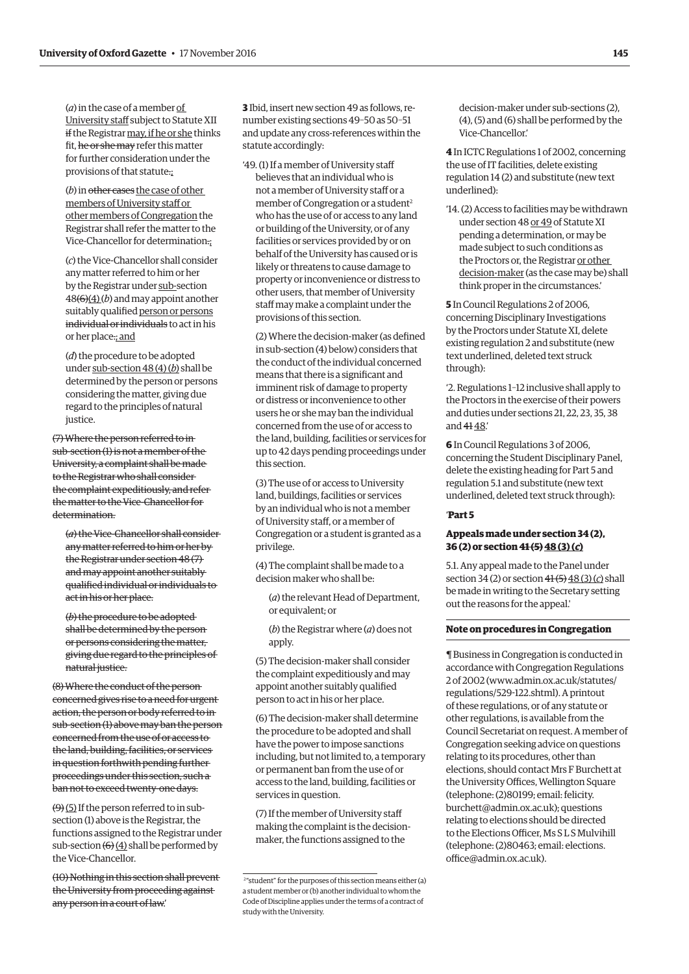(*a*) in the case of a member of University staff subject to Statute XII if the Registrar may, if he or she thinks fit, he or she may refer this matter for further consideration under the provisions of that statute.;

(*b*) in other cases the case of other members of University staff or other members of Congregation the Registrar shall refer the matter to the Vice-Chancellor for determination.;

(*c*) the Vice-Chancellor shall consider any matter referred to him or her by the Registrar under sub-section 48(6)(4) (*b*) and may appoint another suitably qualified person or persons individual or individuals to act in his or her place.; and

(*d*) the procedure to be adopted under sub-section 48 (4) (*b*) shall be determined by the person or persons considering the matter, giving due regard to the principles of natural justice.

(7) Where the person referred to in sub-section (1) is not a member of the University, a complaint shall be made to the Registrar who shall consider the complaint expeditiously, and refer the matter to the Vice-Chancellor for determination.

(*a*) the Vice-Chancellor shall consider any matter referred to him or her by the Registrar under section 48 (7) and may appoint another suitably qualified individual or individuals to act in his or her place.

(*b*) the procedure to be adopted shall be determined by the person or persons considering the matter, giving due regard to the principles of natural justice.

(8) Where the conduct of the person concerned gives rise to a need for urgent action, the person or body referred to in sub-section (1) above may ban the person concerned from the use of or access to the land, building, facilities, or services in question forthwith pending further proceedings under this section, such a ban not to exceed twenty-one days.

 $(9)$  (5) If the person referred to in subsection (1) above is the Registrar, the functions assigned to the Registrar under sub-section  $(6)(4)$  shall be performed by the Vice-Chancellor.

(10) Nothing in this section shall prevent the University from proceeding against any person in a court of law.'

**3** Ibid, insert new section 49 as follows, renumber existing sections 49–50 as 50–51 and update any cross-references within the statute accordingly:

'49. (1) If a member of University staff believes that an individual who is not a member of University staff or a member of Congregation or a student<sup>2</sup> who has the use of or access to any land or building of the University, or of any facilities or services provided by or on behalf of the University has caused or is likely or threatens to cause damage to property or inconvenience or distress to other users, that member of University staff may make a complaint under the provisions of this section.

(2) Where the decision-maker (as defined in sub-section (4) below) considers that the conduct of the individual concerned means that there is a significant and imminent risk of damage to property or distress or inconvenience to other users he or she may ban the individual concerned from the use of or access to the land, building, facilities or services for up to 42 days pending proceedings under this section.

(3) The use of or access to University land, buildings, facilities or services by an individual who is not a member of University staff, or a member of Congregation or a student is granted as a privilege.

(4) The complaint shall be made to a decision maker who shall be:

(*a*) the relevant Head of Department, or equivalent; or

(*b*) the Registrar where (*a*) does not apply.

(5) The decision-maker shall consider the complaint expeditiously and may appoint another suitably qualified person to act in his or her place.

(6) The decision-maker shall determine the procedure to be adopted and shall have the power to impose sanctions including, but not limited to, a temporary or permanent ban from the use of or access to the land, building, facilities or services in question.

(7) If the member of University staff making the complaint is the decisionmaker, the functions assigned to the

decision-maker under sub-sections (2), (4), (5) and (6) shall be performed by the Vice-Chancellor.'

**4** In ICTC Regulations 1 of 2002, concerning the use of IT facilities, delete existing regulation 14 (2) and substitute (new text underlined):

'14. (2) Access to facilities may be withdrawn under section 48 or 49 of Statute XI pending a determination, or may be made subject to such conditions as the Proctors or, the Registrar or other decision-maker (as the case may be) shall think proper in the circumstances.'

**5** In Council Regulations 2 of 2006, concerning Disciplinary Investigations by the Proctors under Statute XI, delete existing regulation 2 and substitute (new text underlined, deleted text struck through):

'2. Regulations 1–12 inclusive shall apply to the Proctors in the exercise of their powers and duties under sections 21, 22, 23, 35, 38 and 41 48.'

**6** In Council Regulations 3 of 2006, concerning the Student Disciplinary Panel, delete the existing heading for Part 5 and regulation 5.1 and substitute (new text underlined, deleted text struck through):

#### '**Part 5**

#### **Appeals made under section 34 (2), 36 (2) or section 41 (5)48 (3) (***c***)**

5.1. Any appeal made to the Panel under section 34 (2) or section 41 (5) 48 (3) (*c*) shall be made in writing to the Secretary setting out the reasons for the appeal.'

#### **Note on procedures in Congregation**

¶ Business in Congregation is conducted in accordance with Congregation Regulations 2 of 2002 [\(www.admin.ox.ac.uk/statutes/](http://www.admin.ox.ac.uk/statutes/regulations/529-122.shtml) [regulations/529-122.shtml\). A p](http://www.admin.ox.ac.uk/statutes/regulations/529-122.shtml)rintout of these regulations, or of any statute or other regulations, is available from the Council Secretariat on request. A member of Congregation seeking advice on questions relating to its procedures, other than elections, should contact Mrs F Burchett at the University Offices, Wellington Square [\(telephone: \(2\)80199; email: felicity.](mailto:felicity.burchett@admin.ox.ac.uk) burchett@admin.ox.ac.uk); questions relating to elections should be directed to the Elections Officer, Ms S L S Mulvihill [\(telephone: \(2\)80463; email: elections.](mailto:elections.office@admin.ox.ac.uk) office@admin.ox.ac.uk).

<sup>2</sup> "student" for the purposes of this section means either (a) a student member or (b) another individual to whom the Code of Discipline applies under the terms of a contract of study with the University.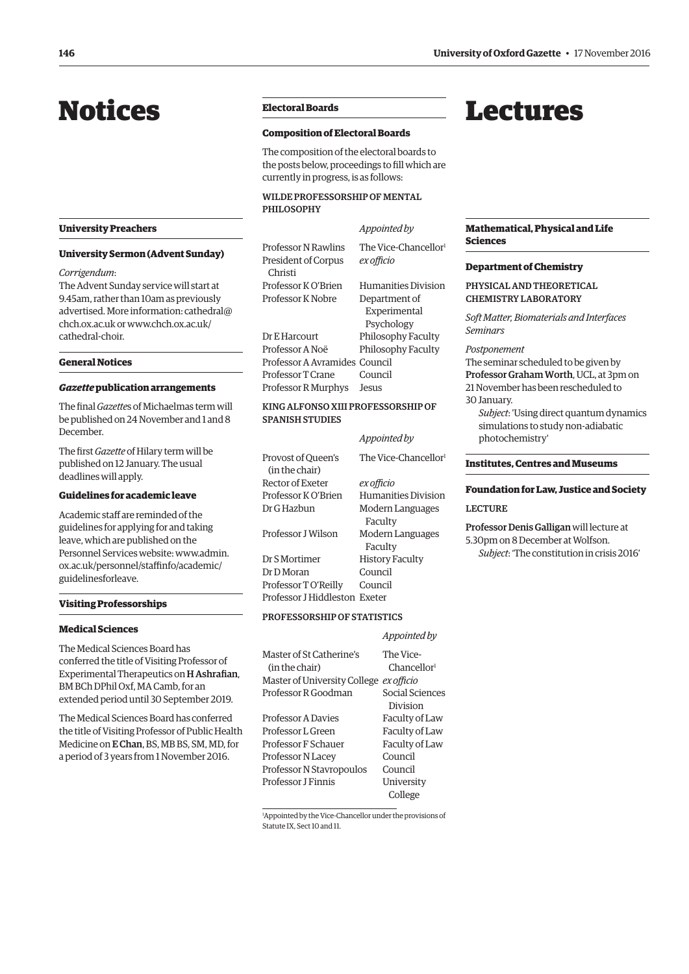## <span id="page-3-0"></span>Notices **Electoral Boards**

#### **University Preachers**

#### **University Sermon (Advent Sunday)**

#### *Corrigendum*:

The Advent Sunday service will start at 9.45am, rather than 10am as previously advertised. More inf[ormation: cathedral@](mailto:cathedral@chch.ox.ac.uk) chch.ox.ac.uk o[r www.chch.ox.ac.uk/](www.chch.ox.ac.uk/cathedral-choir) cathedral-choir.

#### **General Notices**

#### *Gazette* **publication arrangements**

The final *Gazette*s of Michaelmas term will be published on 24 November and 1 and 8 December.

The first *Gazette* of Hilary term will be published on 12 January. The usual deadlines will apply.

#### **Guidelines for academic leave**

Academic staff are reminded of the guidelines for applying for and taking leave, which are published on the [Personnel Services website: www.admin.](www.admin.ox.ac.uk/personnel/staffinfo/academic/guidelinesforleave) ox.ac.uk/personnel/staffinfo/academic/ guidelinesforleave.

#### **Visiting Professorships**

#### **Medical Sciences**

The Medical Sciences Board has conferred the title of Visiting Professor of Experimental Therapeutics on H Ashrafian, BM BCh DPhil Oxf, MA Camb, for an extended period until 30 September 2019.

The Medical Sciences Board has conferred the title of Visiting Professor of Public Health Medicine on E Chan, BS, MB BS, SM, MD, for a period of 3 years from 1 November 2016.

#### **Composition of Electoral Boards**

The composition of the electoral boards to the posts below, proceedings to fill which are currently in progress, is as follows:

#### WILDE PROFESSORSHIP OF MENTAL PHILOSOPHY

*Appointed by* Professor N Rawlins The Vice-Chancellor<sup>1</sup> President of Corpus *ex officio* Christi Professor K O'Brien Humanities Division Professor K Nobre Department of Experimental Psychology Dr E Harcourt Philosophy Faculty Professor A Noë Philosophy Faculty Professor A Avramides Council Professor T Crane Council Professor R Murphys Jesus

#### KING ALFONSO XIII PROFESSORSHIP OF SPANISH STUDIES

*Appointed by*

|                                      | <i>Appointed by</i>              |
|--------------------------------------|----------------------------------|
| Provost of Oueen's<br>(in the chair) | The Vice-Chancellor <sup>1</sup> |
| Rector of Exeter                     | ex officio                       |
| Professor K O'Brien                  | Humanities Division              |
| Dr G Hazbun                          | Modern Languages<br>Faculty      |
| Professor I Wilson                   | Modern Languages<br>Faculty      |
| Dr S Mortimer                        | <b>History Faculty</b>           |
| Dr D Moran                           | Council                          |
| Professor TO'Reilly                  | Council                          |
| Professor J Hiddleston Exeter        |                                  |

#### PROFESSORSHIP OF STATISTICS

|                                         | Appointed by            |
|-----------------------------------------|-------------------------|
| Master of St Catherine's                | The Vice-               |
| (in the chair)                          | Chancellor <sup>1</sup> |
| Master of University College ex officio |                         |
| Professor R Goodman                     | Social Sciences         |
|                                         | Division                |
| <b>Professor A Davies</b>               | Faculty of Law          |
| Professor L Green                       | Faculty of Law          |
| Professor F Schauer                     | Faculty of Law          |
| Professor N Lacey                       | Council                 |
| Professor N Stavropoulos                | Council                 |
| Professor I Finnis                      | University              |
|                                         | College                 |

1 Appointed by the Vice-Chancellor under the provisions of Statute IX, Sect 10 and 11.

## Lectures

#### **Mathematical, Physical and Life Sciences**

#### **Department of Chemistry**

PHYSICAL AND THEORETICAL CHEMISTRY LABORATORY

*Soft Matter, Biomaterials and Interfaces Seminars*

#### *Postponement*

The seminar scheduled to be given by Professor Graham Worth, UCL, at 3pm on 21 November has been rescheduled to

- 30 January.
	- *Subject*: 'Using direct quantum dynamics simulations to study non-adiabatic photochemistry'

#### **Institutes, Centres and Museums**

### **Foundation for Law, Justice and Society**  LECTURE

Professor Denis Galligan will lecture at 5.30pm on 8 December at Wolfson.

*Subject*: 'The constitution in crisis 2016'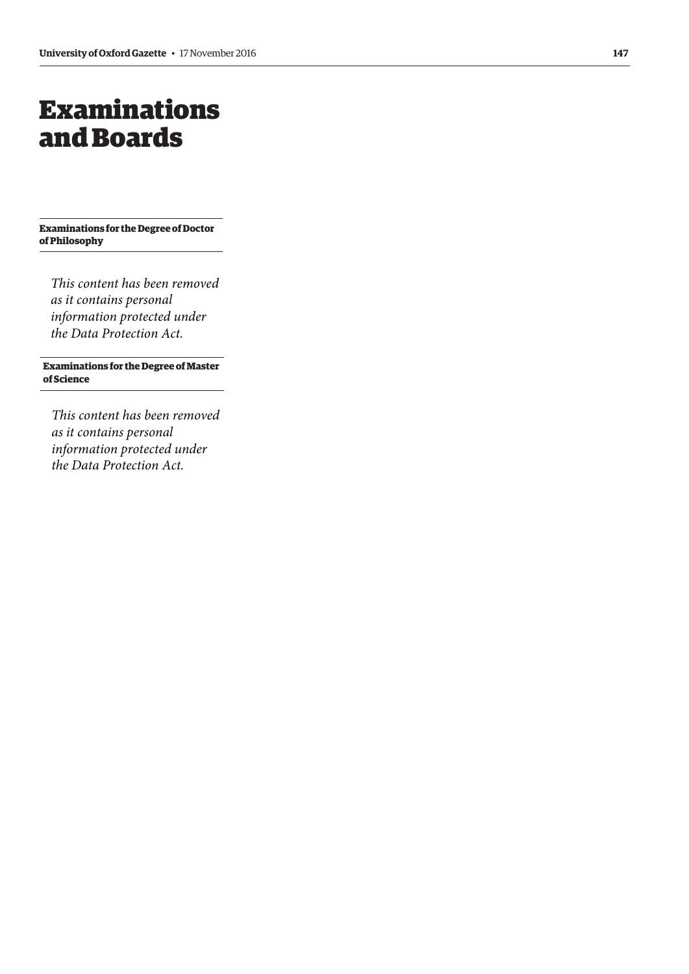## <span id="page-4-0"></span>Examinations and Boards

**Examinations for the Degree of Doctor of Philosophy**

*This content has been removed as it contains personal information protected under the Data Protection Act.*

#### **Examinations for the Degree of Master of Science**

*This content has been removed as it contains personal information protected under the Data Protection Act.*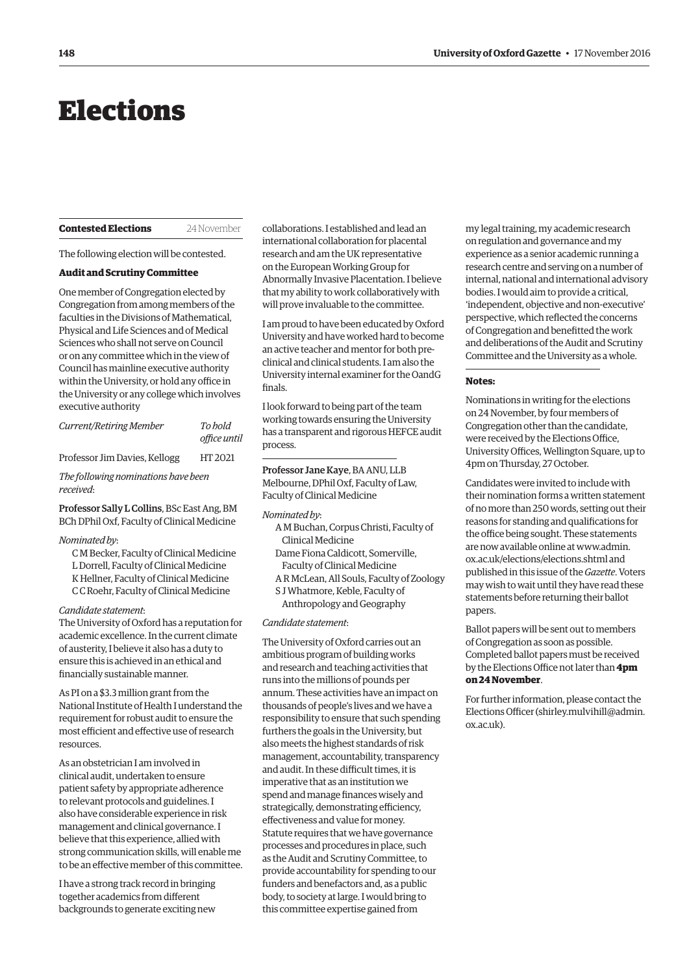## <span id="page-5-0"></span>Elections

#### **Contested Elections** 24 November

The following election will be contested.

#### **Audit and Scrutiny Committee**

One member of Congregation elected by Congregation from among members of the faculties in the Divisions of Mathematical, Physical and Life Sciences and of Medical Sciences who shall not serve on Council or on any committee which in the view of Council has mainline executive authority within the University, or hold any office in the University or any college which involves executive authority

| Current/Retiring Member       | To hold<br>office until |
|-------------------------------|-------------------------|
| Professor Jim Davies, Kellogg | HT 2021                 |

*The following nominations have been received*:

Professor Sally L Collins, BSc East Ang, BM BCh DPhil Oxf, Faculty of Clinical Medicine

#### *Nominated by*:

C M Becker, Faculty of Clinical Medicine L Dorrell, Faculty of Clinical Medicine K Hellner, Faculty of Clinical Medicine C C Roehr, Faculty of Clinical Medicine

#### *Candidate statement*:

The University of Oxford has a reputation for academic excellence. In the current climate of austerity, I believe it also has a duty to ensure this is achieved in an ethical and financially sustainable manner.

As PI on a \$3.3 million grant from the National Institute of Health I understand the requirement for robust audit to ensure the most efficient and effective use of research resources.

As an obstetrician I am involved in clinical audit, undertaken to ensure patient safety by appropriate adherence to relevant protocols and guidelines. I also have considerable experience in risk management and clinical governance. I believe that this experience, allied with strong communication skills, will enable me to be an effective member of this committee.

I have a strong track record in bringing together academics from different backgrounds to generate exciting new

collaborations. I established and lead an international collaboration for placental research and am the UK representative on the European Working Group for Abnormally Invasive Placentation. I believe that my ability to work collaboratively with will prove invaluable to the committee.

I am proud to have been educated by Oxford University and have worked hard to become an active teacher and mentor for both preclinical and clinical students. I am also the University internal examiner for the OandG finals.

I look forward to being part of the team working towards ensuring the University has a transparent and rigorous HEFCE audit process.

Professor Jane Kaye, BA ANU, LLB Melbourne, DPhil Oxf, Faculty of Law, Faculty of Clinical Medicine

#### *Nominated by*:

- A M Buchan, Corpus Christi, Faculty of Clinical Medicine
- Dame Fiona Caldicott, Somerville, Faculty of Clinical Medicine
- A R McLean, All Souls, Faculty of Zoology
- S J Whatmore, Keble, Faculty of
	- Anthropology and Geography

#### *Candidate statement*:

The University of Oxford carries out an ambitious program of building works and research and teaching activities that runs into the millions of pounds per annum. These activities have an impact on thousands of people's lives and we have a responsibility to ensure that such spending furthers the goals in the University, but also meets the highest standards of risk management, accountability, transparency and audit. In these difficult times, it is imperative that as an institution we spend and manage finances wisely and strategically, demonstrating efficiency, effectiveness and value for money. Statute requires that we have governance processes and procedures in place, such as the Audit and Scrutiny Committee, to provide accountability for spending to our funders and benefactors and, as a public body, to society at large. I would bring to this committee expertise gained from

my legal training, my academic research on regulation and governance and my experience as a senior academic running a research centre and serving on a number of internal, national and international advisory bodies. I would aim to provide a critical, 'independent, objective and non-executive' perspective, which reflected the concerns of Congregation and benefitted the work and deliberations of the Audit and Scrutiny Committee and the University as a whole.

#### **Notes:**

Nominations in writing for the elections on 24 November, by four members of Congregation other than the candidate, were received by the Elections Office, University Offices, Wellington Square, up to 4pm on Thursday, 27 October.

Candidates were invited to include with their nomination forms a written statement of no more than 250 words, setting out their reasons for standing and qualifications for the office being sought. These statements [are now available online at www.admin.](www.admin.ox.ac.uk/elections/elections.shtml) ox.ac.uk/elections/elections.shtml and published in this issue of the *Gazette*. Voters may wish to wait until they have read these statements before returning their ballot papers.

Ballot papers will be sent out to members of Congregation as soon as possible. Completed ballot papers must be received by the Elections Office not later than **4pm on 24 November**.

For further information, please contact the Elections Officer [\(shirley.mulvihill@admin.](mailto:shirley.mulvihill@admin.ox.ac.uk) [ox.ac.uk\).](mailto:shirley.mulvihill@admin.ox.ac.uk)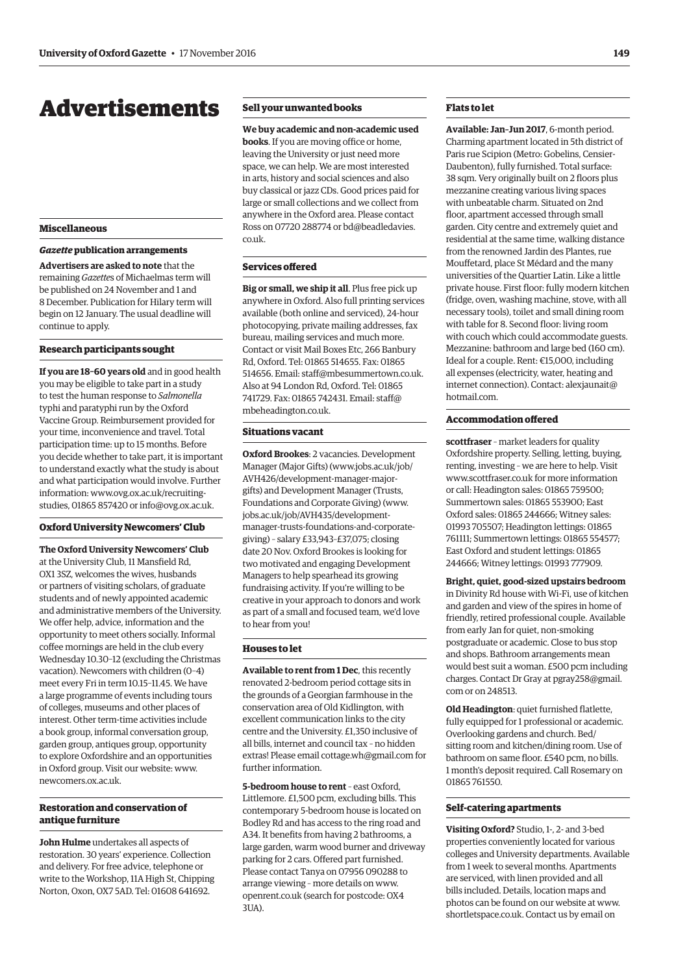## <span id="page-6-0"></span>Advertisements

#### **Miscellaneous**

#### *Gazette* **publication arrangements**

**Advertisers are asked to note** that the remaining *Gazette*s of Michaelmas term will be published on 24 November and 1 and 8 December. Publication for Hilary term will begin on 12 January. The usual deadline will continue to apply.

#### **Research participants sought**

**If you are 18–60 years old** and in good health you may be eligible to take part in a study to test the human response to *Salmonella* typhi and paratyphi run by the Oxford Vaccine Group. Reimbursement provided for your time, inconvenience and travel. Total participation time: up to 15 months. Before you decide whether to take part, it is important to understand exactly what the study is about and what participation would involve. Further information[: www.ovg.ox.ac.uk/recruiting](www.ovg.ox.ac.uk/recruiting-studies)studies, 01865 857420 or [info@ovg.ox.ac.uk.](mailto:info@ovg.ox.ac.uk)

#### **Oxford University Newcomers' Club**

**The Oxford University Newcomers' Club** at the University Club, 11 Mansfield Rd, OX1 3SZ, welcomes the wives, husbands or partners of visiting scholars, of graduate students and of newly appointed academic and administrative members of the University. We offer help, advice, information and the opportunity to meet others socially. Informal coffee mornings are held in the club every Wednesday 10.30–12 (excluding the Christmas vacation). Newcomers with children (0–4) meet every Fri in term 10.15–11.45. We have a large programme of events including tours of colleges, museums and other places of interest. Other term-time activities include a book group, informal conversation group, garden group, antiques group, opportunity to explore Oxfordshire and an opportunities in Oxford group. Visit our website: [www.](http://www.newcomers.ox.ac.uk) [newcomers.ox.ac.uk.](http://www.newcomers.ox.ac.uk)

#### **Restoration and conservation of antique furniture**

**John Hulme** undertakes all aspects of restoration. 30 years' experience. Collection and delivery. For free advice, telephone or write to the Workshop, 11A High St, Chipping Norton, Oxon, OX7 5AD. Tel: 01608 641692.

#### **Sell your unwanted books**

**We buy academic and non-academic used books**. If you are moving office or home, leaving the University or just need more space, we can help. We are most interested in arts, history and social sciences and also buy classical or jazz CDs. Good prices paid for large or small collections and we collect from anywhere in the Oxford area. Please contact [Ross on 07720 288774 or bd@beadledavies.](mailto:bd@beadledavies.co.uk) co.uk.

#### **Services offered**

**Big or small, we ship it all**. Plus free pick up anywhere in Oxford. Also full printing services available (both online and serviced), 24-hour photocopying, private mailing addresses, fax bureau, mailing services and much more. Contact or visit Mail Boxes Etc, 266 Banbury Rd, Oxford. Tel: 01865 514655. Fax: 01865 514656. Email: [staff@mbesummertown.co.uk.](mailto:staff@mbesummertown.co.uk)  Also at 94 London Rd, Oxford. Tel: 01865 [741729. Fax: 01865 742431. Email: staff@](mailto:staff@mbeheadington.co.uk) mbeheadington.co.uk.

#### **Situations vacant**

**Oxford Brookes**: 2 vacancies. Development [Manager \(Major Gifts\) \(www.jobs.ac.uk/job/](www.jobs.ac.uk/job/AVH426/development-manager-major-gifts) AVH426/development-manager-majorgifts) and Development Manager (Trusts, Foundations and Corporate Giving) (www. jobs.ac.uk/job/AVH435/development[manager-trusts-foundations-and-corporate](www.jobs.ac.uk/job/AVH435/development-manager-trusts-foundations-and-corporate-giving)giving) – salary £33,943–£37,075; closing date 20 Nov. Oxford Brookes is looking for two motivated and engaging Development Managers to help spearhead its growing fundraising activity. If you're willing to be creative in your approach to donors and work as part of a small and focused team, we'd love to hear from you!

#### **Houses to let**

**Available to rent from 1 Dec**, this recently renovated 2-bedroom period cottage sits in the grounds of a Georgian farmhouse in the conservation area of Old Kidlington, with excellent communication links to the city centre and the University. £1,350 inclusive of all bills, internet and council tax – no hidden extras! Please email [cottage.wh@gmail.com fo](mailto:cottage.wh@gmail.com)r further information.

**5-bedroom house to rent** – east Oxford, Littlemore. £1,500 pcm, excluding bills. This contemporary 5-bedroom house is located on Bodley Rd and has access to the ring road and A34. It benefits from having 2 bathrooms, a large garden, warm wood burner and driveway parking for 2 cars. Offered part furnished. Please contact Tanya on 07956 090288 to arrange viewing – more details on [www.](http://www.openrent.co.uk) [openrent.co.uk \(se](http://www.openrent.co.uk)arch for postcode: OX4 3UA).

#### **Flats to let**

**Available: Jan–Jun 2017**, 6-month period. Charming apartment located in 5th district of Paris rue Scipion (Metro: Gobelins, Censier-Daubenton), fully furnished. Total surface: 38 sqm. Very originally built on 2 floors plus mezzanine creating various living spaces with unbeatable charm. Situated on 2nd floor, apartment accessed through small garden. City centre and extremely quiet and residential at the same time, walking distance from the renowned Jardin des Plantes, rue Mouffetard, place St Médard and the many universities of the Quartier Latin. Like a little private house. First floor: fully modern kitchen (fridge, oven, washing machine, stove, with all necessary tools), toilet and small dining room with table for 8. Second floor: living room with couch which could accommodate guests. Mezzanine: bathroom and large bed (160 cm). Ideal for a couple. Rent: €15,000, including all expenses (electricity, water, heating and [internet connection\). Contact: alexjaunait@](mailto:alexjaunait@hotmail.com) hotmail.com.

#### **Accommodation offered**

**scottfraser** – market leaders for quality Oxfordshire property. Selling, letting, buying, renting, investing – we are here to help. Visit [www.scottfraser.co.uk for](http://www.scottfraser.co.uk) more information or call: Headington sales: 01865 759500; Summertown sales: 01865 553900; East Oxford sales: 01865 244666; Witney sales: 01993 705507; Headington lettings: 01865 761111; Summertown lettings: 01865 554577; East Oxford and student lettings: 01865 244666; Witney lettings: 01993 777909.

**Bright, quiet, good-sized upstairs bedroom** in Divinity Rd house with Wi-Fi, use of kitchen and garden and view of the spires in home of friendly, retired professional couple. Available from early Jan for quiet, non-smoking postgraduate or academic. Close to bus stop and shops. Bathroom arrangements mean would best suit a woman. £500 pcm including [charges. Contact Dr Gray at pgray258@gmail.](mailto:pgay258@gmail.com) com or on 248513.

**Old Headington**: quiet furnished flatlette, fully equipped for 1 professional or academic. Overlooking gardens and church. Bed/ sitting room and kitchen/dining room. Use of bathroom on same floor. £540 pcm, no bills. 1 month's deposit required. Call Rosemary on 01865 761550.

#### **Self-catering apartments**

**Visiting Oxford?** Studio, 1-, 2- and 3-bed properties conveniently located for various colleges and University departments. Available from 1 week to several months. Apartments are serviced, with linen provided and all bills included. Details, location maps and photos can be found on our website at [www.](http://www.shortletspace.co.uk) [shortletspace.co.uk. Co](http://www.shortletspace.co.uk)ntact us by email on